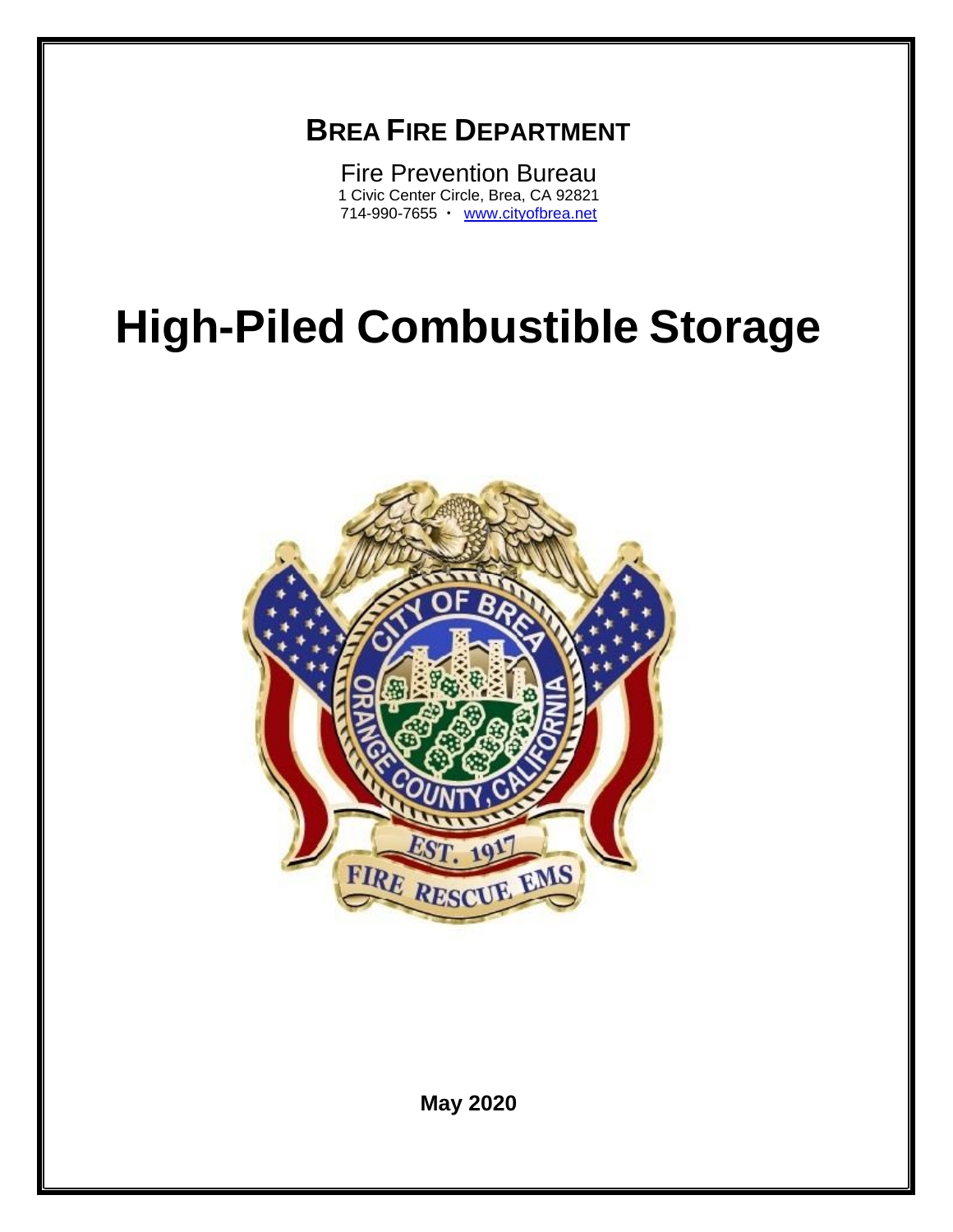## **BREA FIRE DEPARTMENT**

Fire Prevention Bureau 1 Civic Center Circle, Brea, CA 92821 714-990-7655 · [www.cityofbrea.net](http://www.cityofbrea.net/)

# **High-Piled Combustible Storage**



**May 2020**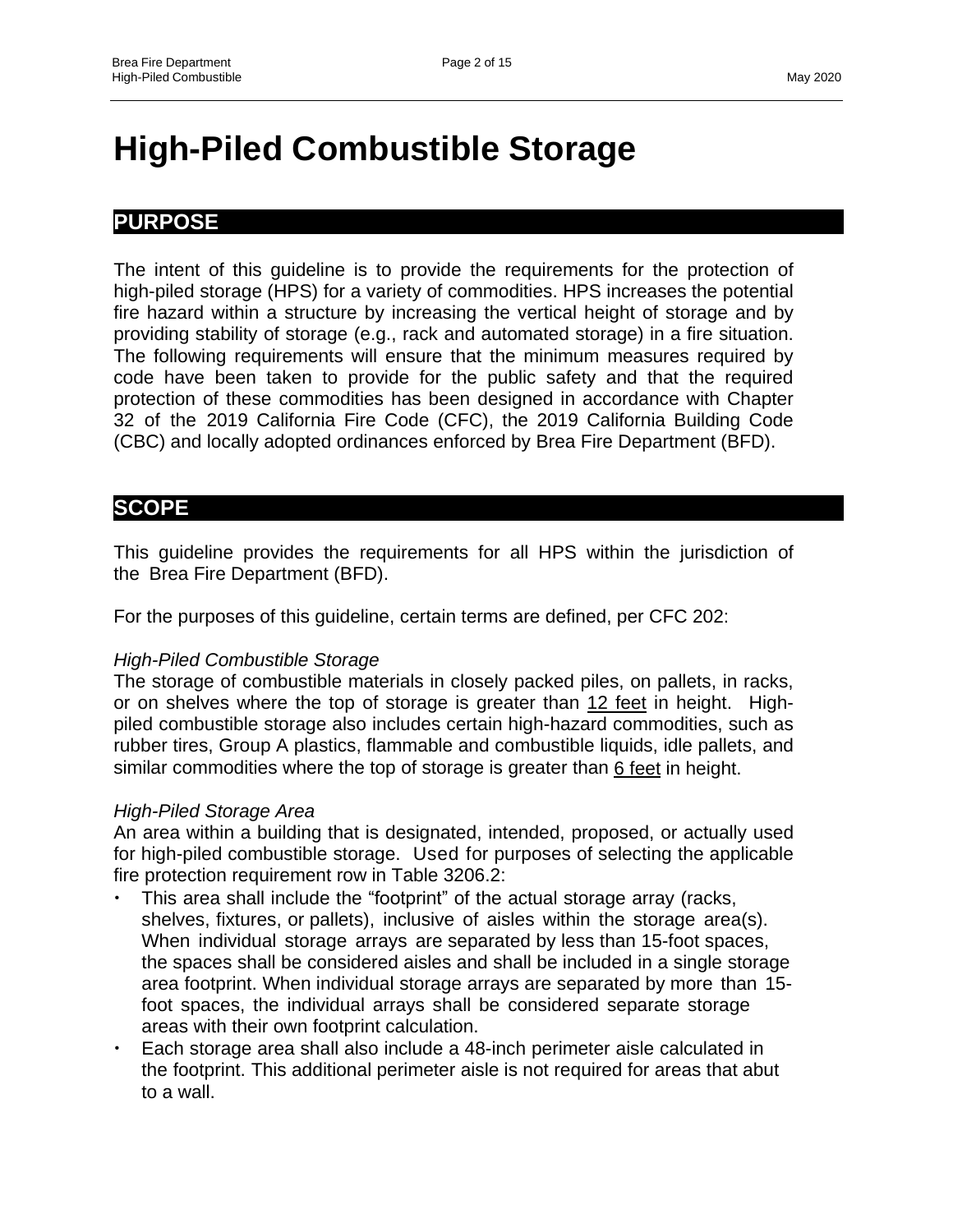## **High-Piled Combustible Storage**

#### **PURPOSE**

The intent of this guideline is to provide the requirements for the protection of high-piled storage (HPS) for a variety of commodities. HPS increases the potential fire hazard within a structure by increasing the vertical height of storage and by providing stability of storage (e.g., rack and automated storage) in a fire situation. The following requirements will ensure that the minimum measures required by code have been taken to provide for the public safety and that the required protection of these commodities has been designed in accordance with Chapter 32 of the 2019 California Fire Code (CFC), the 2019 California Building Code (CBC) and locally adopted ordinances enforced by Brea Fire Department (BFD).

#### **SCOPE**

This guideline provides the requirements for all HPS within the jurisdiction of the Brea Fire Department (BFD).

For the purposes of this guideline, certain terms are defined, per CFC 202:

#### *High-Piled Combustible Storage*

The storage of combustible materials in closely packed piles, on pallets, in racks, or on shelves where the top of storage is greater than 12 feet in height. Highpiled combustible storage also includes certain high-hazard commodities, such as rubber tires, Group A plastics, flammable and combustible liquids, idle pallets, and similar commodities where the top of storage is greater than 6 feet in height.

#### *High-Piled Storage Area*

An area within a building that is designated, intended, proposed, or actually used for high-piled combustible storage. Used for purposes of selecting the applicable fire protection requirement row in Table 3206.2:

- This area shall include the "footprint" of the actual storage array (racks, shelves, fixtures, or pallets), inclusive of aisles within the storage area(s). When individual storage arrays are separated by less than 15-foot spaces, the spaces shall be considered aisles and shall be included in a single storage area footprint. When individual storage arrays are separated by more than 15 foot spaces, the individual arrays shall be considered separate storage areas with their own footprint calculation.
- Each storage area shall also include a 48-inch perimeter aisle calculated in the footprint. This additional perimeter aisle is not required for areas that abut to a wall.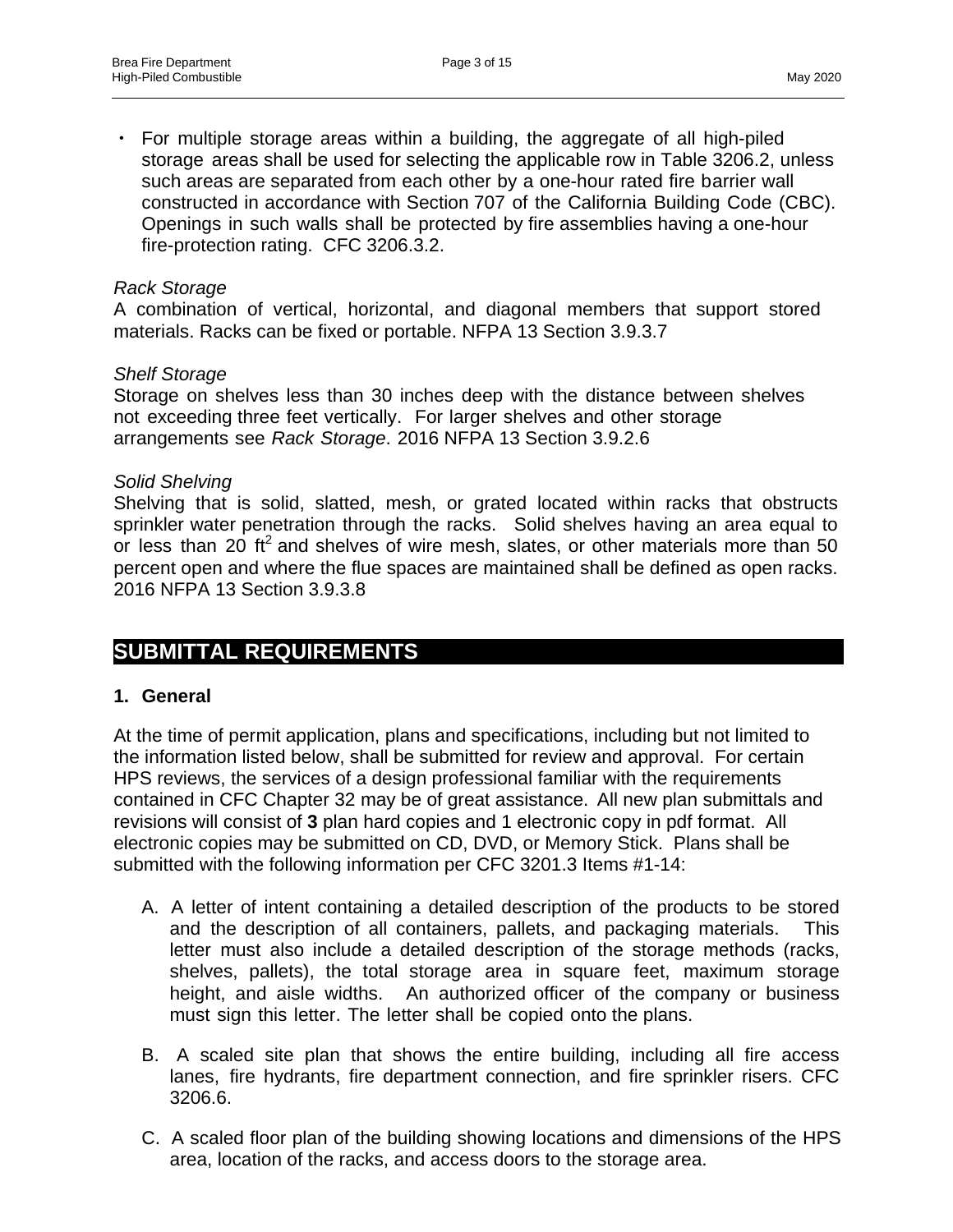For multiple storage areas within a building, the aggregate of all high-piled storage areas shall be used for selecting the applicable row in Table 3206.2, unless such areas are separated from each other by a one-hour rated fire barrier wall constructed in accordance with Section 707 of the California Building Code (CBC). Openings in such walls shall be protected by fire assemblies having a one-hour fire-protection rating. CFC 3206.3.2.

#### *Rack Storage*

A combination of vertical, horizontal, and diagonal members that support stored materials. Racks can be fixed or portable. NFPA 13 Section 3.9.3.7

#### *Shelf Storage*

Storage on shelves less than 30 inches deep with the distance between shelves not exceeding three feet vertically. For larger shelves and other storage arrangements see *Rack Storage*. 2016 NFPA 13 Section 3.9.2.6

#### *Solid Shelving*

Shelving that is solid, slatted, mesh, or grated located within racks that obstructs sprinkler water penetration through the racks. Solid shelves having an area equal to or less than 20 ft<sup>2</sup> and shelves of wire mesh, slates, or other materials more than 50 percent open and where the flue spaces are maintained shall be defined as open racks. 2016 NFPA 13 Section 3.9.3.8

#### **SUBMITTAL REQUIREMENTS**

#### **1. General**

At the time of permit application, plans and specifications, including but not limited to the information listed below, shall be submitted for review and approval. For certain HPS reviews, the services of a design professional familiar with the requirements contained in CFC Chapter 32 may be of great assistance. All new plan submittals and revisions will consist of **3** plan hard copies and 1 electronic copy in pdf format. All electronic copies may be submitted on CD, DVD, or Memory Stick. Plans shall be submitted with the following information per CFC 3201.3 Items #1-14:

- A. A letter of intent containing a detailed description of the products to be stored and the description of all containers, pallets, and packaging materials. This letter must also include a detailed description of the storage methods (racks, shelves, pallets), the total storage area in square feet, maximum storage height, and aisle widths. An authorized officer of the company or business must sign this letter. The letter shall be copied onto the plans.
- B. A scaled site plan that shows the entire building, including all fire access lanes, fire hydrants, fire department connection, and fire sprinkler risers. CFC 3206.6.
- C. A scaled floor plan of the building showing locations and dimensions of the HPS area, location of the racks, and access doors to the storage area.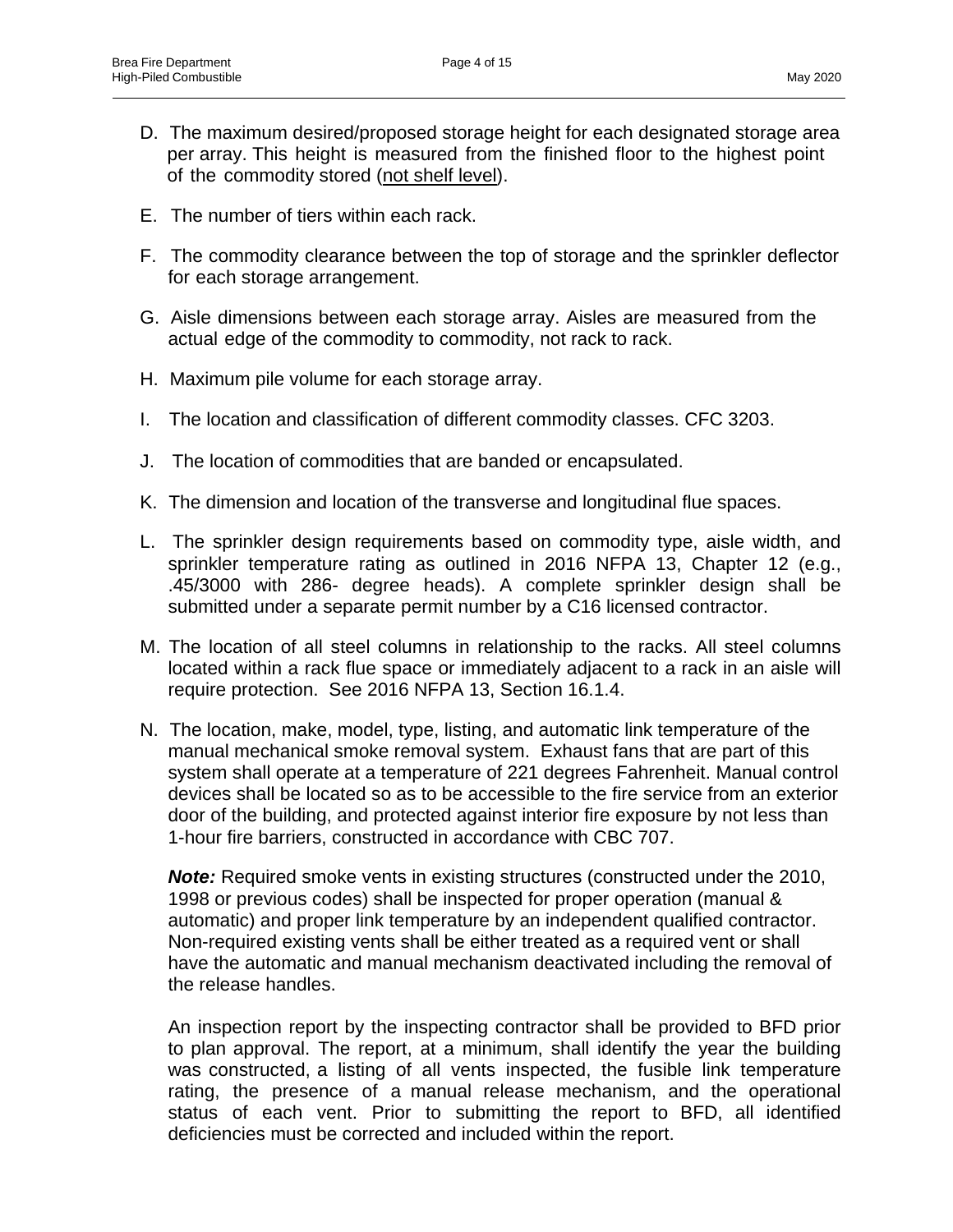- D. The maximum desired/proposed storage height for each designated storage area per array. This height is measured from the finished floor to the highest point of the commodity stored (not shelf level).
- E. The number of tiers within each rack.
- F. The commodity clearance between the top of storage and the sprinkler deflector for each storage arrangement.
- G. Aisle dimensions between each storage array. Aisles are measured from the actual edge of the commodity to commodity, not rack to rack.
- H. Maximum pile volume for each storage array.
- I. The location and classification of different commodity classes. CFC 3203.
- J. The location of commodities that are banded or encapsulated.
- K. The dimension and location of the transverse and longitudinal flue spaces.
- L. The sprinkler design requirements based on commodity type, aisle width, and sprinkler temperature rating as outlined in 2016 NFPA 13, Chapter 12 (e.g., .45/3000 with 286- degree heads). A complete sprinkler design shall be submitted under a separate permit number by a C16 licensed contractor.
- M. The location of all steel columns in relationship to the racks. All steel columns located within a rack flue space or immediately adjacent to a rack in an aisle will require protection. See 2016 NFPA 13, Section 16.1.4.
- N. The location, make, model, type, listing, and automatic link temperature of the manual mechanical smoke removal system. Exhaust fans that are part of this system shall operate at a temperature of 221 degrees Fahrenheit. Manual control devices shall be located so as to be accessible to the fire service from an exterior door of the building, and protected against interior fire exposure by not less than 1-hour fire barriers, constructed in accordance with CBC 707.

*Note:* Required smoke vents in existing structures (constructed under the 2010, 1998 or previous codes) shall be inspected for proper operation (manual & automatic) and proper link temperature by an independent qualified contractor. Non-required existing vents shall be either treated as a required vent or shall have the automatic and manual mechanism deactivated including the removal of the release handles.

An inspection report by the inspecting contractor shall be provided to BFD prior to plan approval. The report, at a minimum, shall identify the year the building was constructed, a listing of all vents inspected, the fusible link temperature rating, the presence of a manual release mechanism, and the operational status of each vent. Prior to submitting the report to BFD, all identified deficiencies must be corrected and included within the report.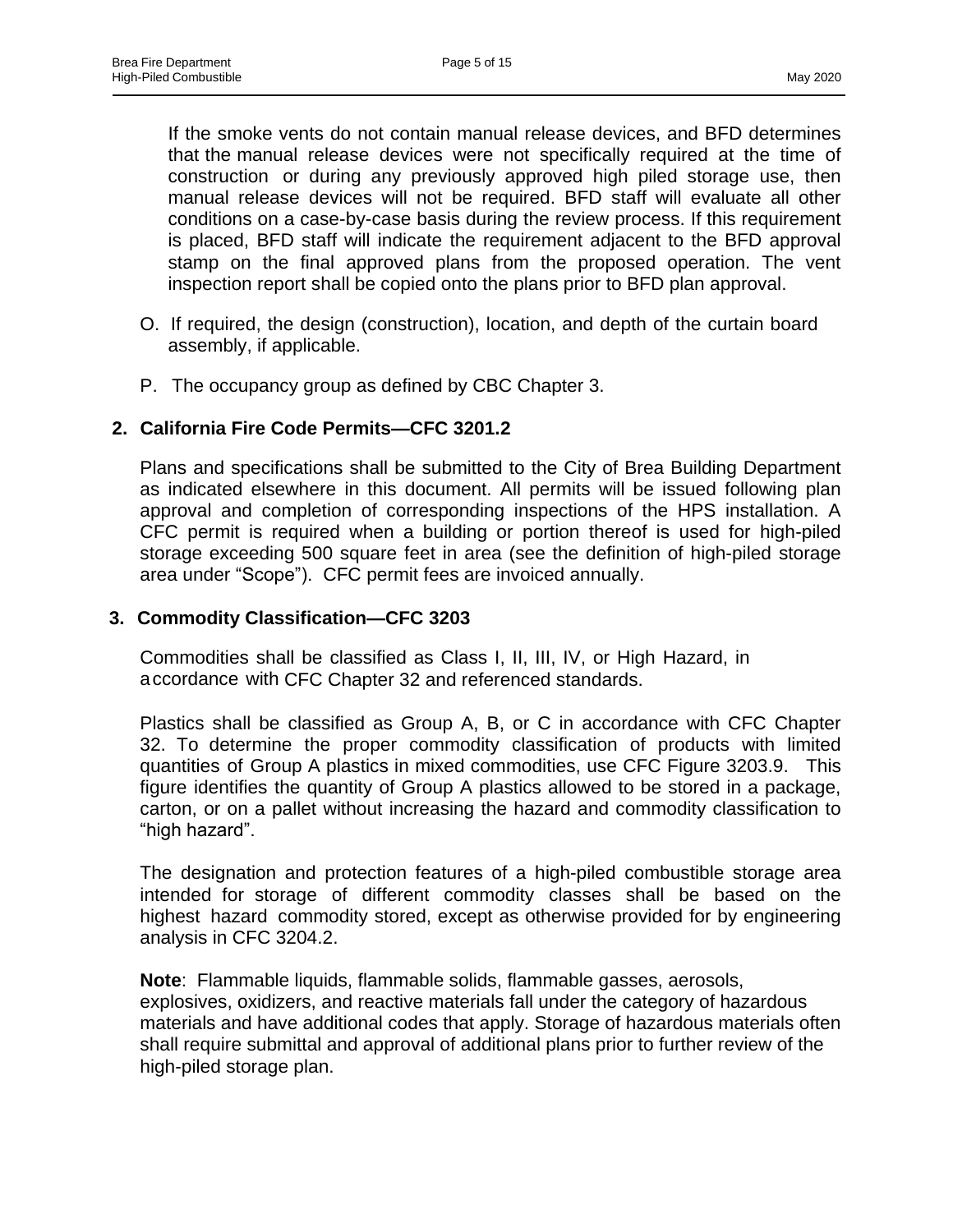If the smoke vents do not contain manual release devices, and BFD determines that the manual release devices were not specifically required at the time of construction or during any previously approved high piled storage use, then manual release devices will not be required. BFD staff will evaluate all other conditions on a case-by-case basis during the review process. If this requirement is placed, BFD staff will indicate the requirement adjacent to the BFD approval stamp on the final approved plans from the proposed operation. The vent inspection report shall be copied onto the plans prior to BFD plan approval.

- O. If required, the design (construction), location, and depth of the curtain board assembly, if applicable.
- P. The occupancy group as defined by CBC Chapter 3.

#### **2. California Fire Code Permits—CFC 3201.2**

Plans and specifications shall be submitted to the City of Brea Building Department as indicated elsewhere in this document. All permits will be issued following plan approval and completion of corresponding inspections of the HPS installation. A CFC permit is required when a building or portion thereof is used for high-piled storage exceeding 500 square feet in area (see the definition of high-piled storage area under "Scope"). CFC permit fees are invoiced annually.

#### **3. Commodity Classification—CFC 3203**

Commodities shall be classified as Class I, II, III, IV, or High Hazard, in accordance with CFC Chapter 32 and referenced standards.

Plastics shall be classified as Group A, B, or C in accordance with CFC Chapter 32. To determine the proper commodity classification of products with limited quantities of Group A plastics in mixed commodities, use CFC Figure 3203.9. This figure identifies the quantity of Group A plastics allowed to be stored in a package, carton, or on a pallet without increasing the hazard and commodity classification to "high hazard".

The designation and protection features of a high-piled combustible storage area intended for storage of different commodity classes shall be based on the highest hazard commodity stored, except as otherwise provided for by engineering analysis in CFC 3204.2.

**Note**: Flammable liquids, flammable solids, flammable gasses, aerosols, explosives, oxidizers, and reactive materials fall under the category of hazardous materials and have additional codes that apply. Storage of hazardous materials often shall require submittal and approval of additional plans prior to further review of the high-piled storage plan.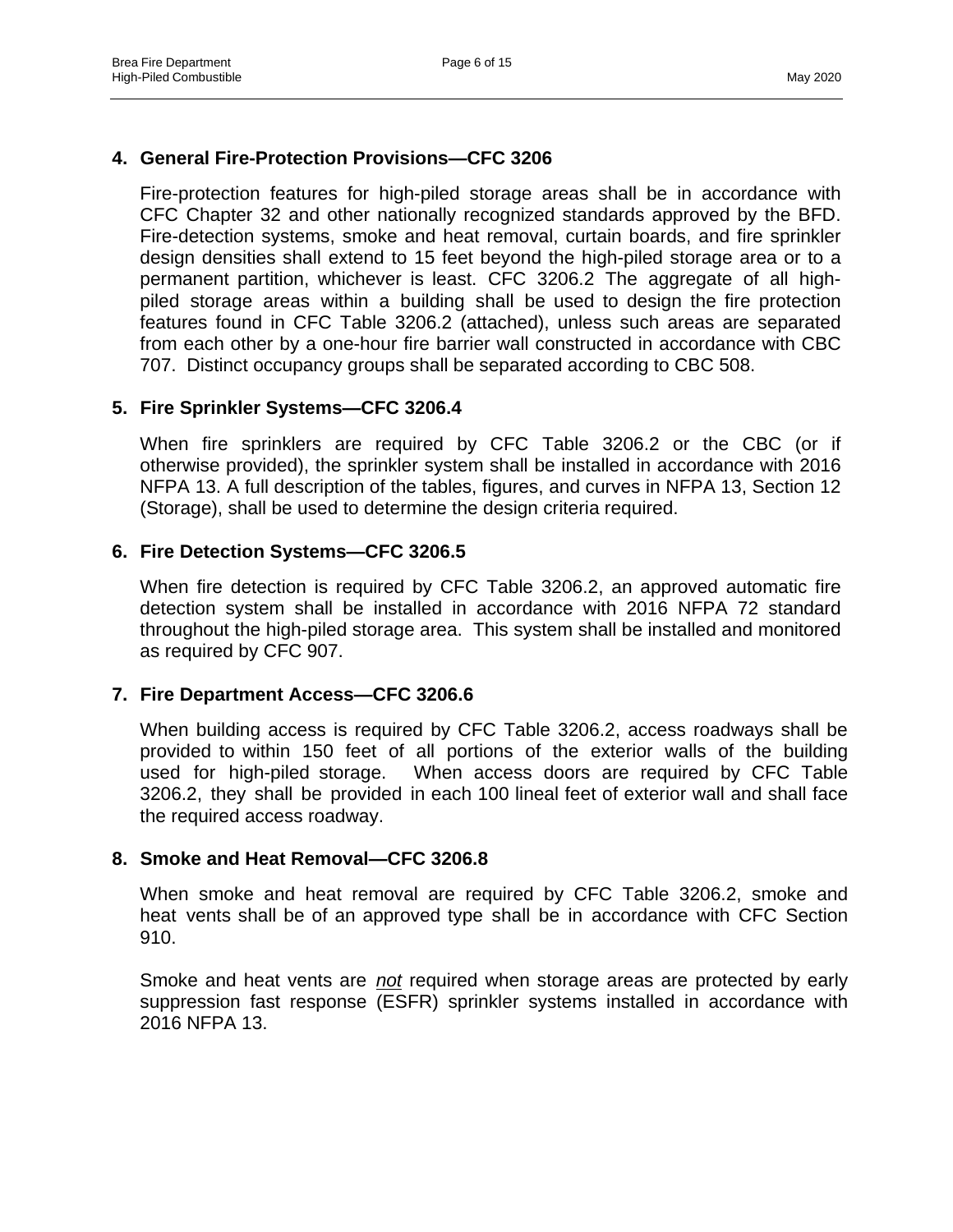#### **4. General Fire-Protection Provisions—CFC 3206**

Fire-protection features for high-piled storage areas shall be in accordance with CFC Chapter 32 and other nationally recognized standards approved by the BFD. Fire-detection systems, smoke and heat removal, curtain boards, and fire sprinkler design densities shall extend to 15 feet beyond the high-piled storage area or to a permanent partition, whichever is least. CFC 3206.2 The aggregate of all highpiled storage areas within a building shall be used to design the fire protection features found in CFC Table 3206.2 (attached), unless such areas are separated from each other by a one-hour fire barrier wall constructed in accordance with CBC 707. Distinct occupancy groups shall be separated according to CBC 508.

#### **5. Fire Sprinkler Systems—CFC 3206.4**

When fire sprinklers are required by CFC Table 3206.2 or the CBC (or if otherwise provided), the sprinkler system shall be installed in accordance with 2016 NFPA 13. A full description of the tables, figures, and curves in NFPA 13, Section 12 (Storage), shall be used to determine the design criteria required.

#### **6. Fire Detection Systems—CFC 3206.5**

When fire detection is required by CFC Table 3206.2, an approved automatic fire detection system shall be installed in accordance with 2016 NFPA 72 standard throughout the high-piled storage area. This system shall be installed and monitored as required by CFC 907.

#### **7. Fire Department Access—CFC 3206.6**

When building access is required by CFC Table 3206.2, access roadways shall be provided to within 150 feet of all portions of the exterior walls of the building used for high-piled storage. When access doors are required by CFC Table 3206.2, they shall be provided in each 100 lineal feet of exterior wall and shall face the required access roadway.

#### **8. Smoke and Heat Removal—CFC 3206.8**

When smoke and heat removal are required by CFC Table 3206.2, smoke and heat vents shall be of an approved type shall be in accordance with CFC Section 910.

Smoke and heat vents are *not* required when storage areas are protected by early suppression fast response (ESFR) sprinkler systems installed in accordance with 2016 NFPA 13.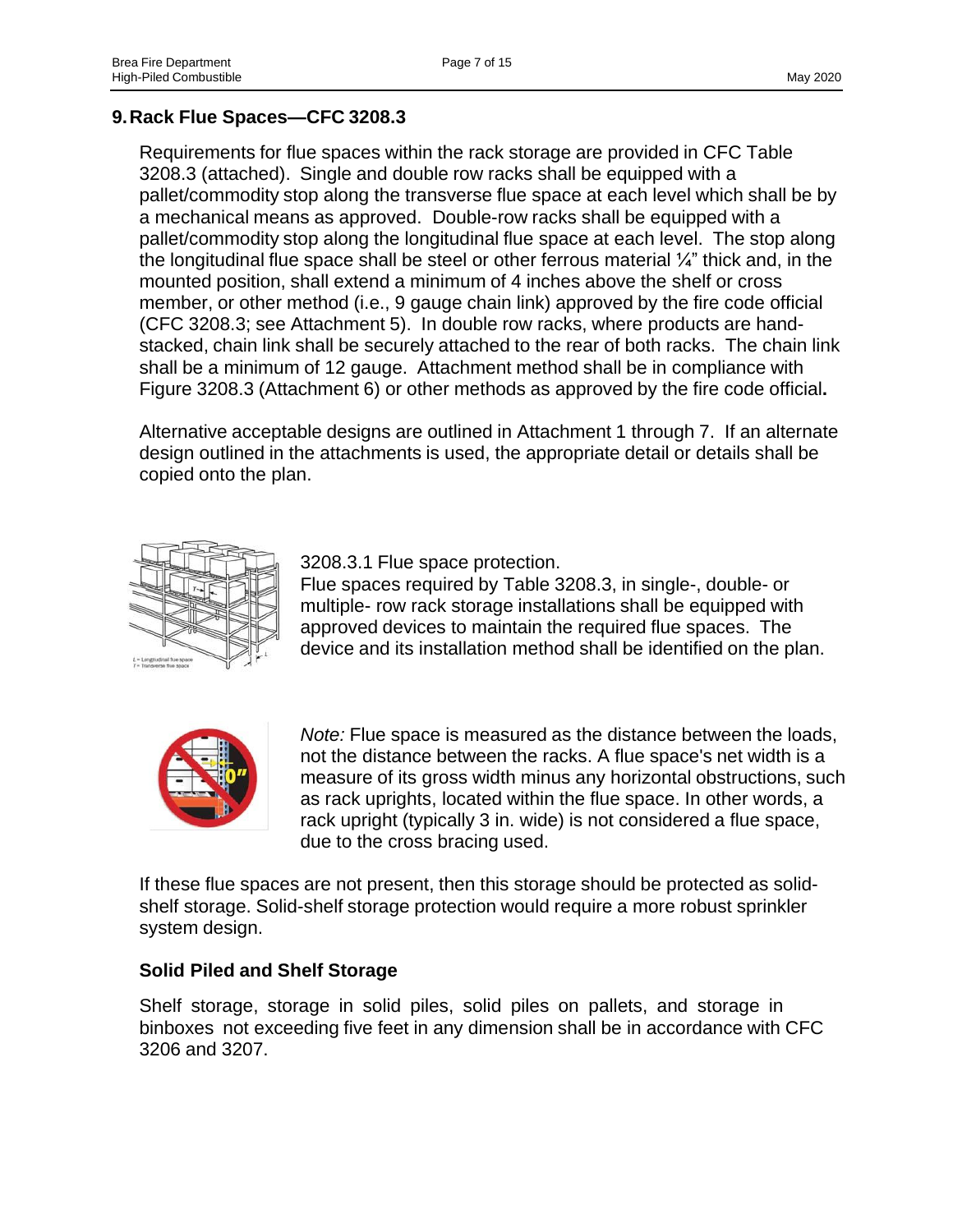#### **9.Rack Flue Spaces—CFC 3208.3**

Requirements for flue spaces within the rack storage are provided in CFC Table 3208.3 (attached). Single and double row racks shall be equipped with a pallet/commodity stop along the transverse flue space at each level which shall be by a mechanical means as approved. Double-row racks shall be equipped with a pallet/commodity stop along the longitudinal flue space at each level. The stop along the longitudinal flue space shall be steel or other ferrous material ¼" thick and, in the mounted position, shall extend a minimum of 4 inches above the shelf or cross member, or other method (i.e., 9 gauge chain link) approved by the fire code official (CFC 3208.3; see Attachment 5). In double row racks, where products are handstacked, chain link shall be securely attached to the rear of both racks. The chain link shall be a minimum of 12 gauge. Attachment method shall be in compliance with Figure 3208.3 (Attachment 6) or other methods as approved by the fire code official**.**

Alternative acceptable designs are outlined in Attachment 1 through 7. If an alternate design outlined in the attachments is used, the appropriate detail or details shall be copied onto the plan.



3208.3.1 Flue space protection.

Flue spaces required by Table 3208.3, in single-, double- or multiple- row rack storage installations shall be equipped with approved devices to maintain the required flue spaces. The device and its installation method shall be identified on the plan.



*Note:* Flue space is measured as the distance between the loads, not the distance between the racks. A flue space's net width is a measure of its gross width minus any horizontal obstructions, such as rack uprights, located within the flue space. In other words, a rack upright (typically 3 in. wide) is not considered a flue space, due to the cross bracing used.

If these flue spaces are not present, then this storage should be protected as solidshelf storage. Solid-shelf storage protection would require a more robust sprinkler system design.

#### **Solid Piled and Shelf Storage**

Shelf storage, storage in solid piles, solid piles on pallets, and storage in binboxes not exceeding five feet in any dimension shall be in accordance with CFC 3206 and 3207.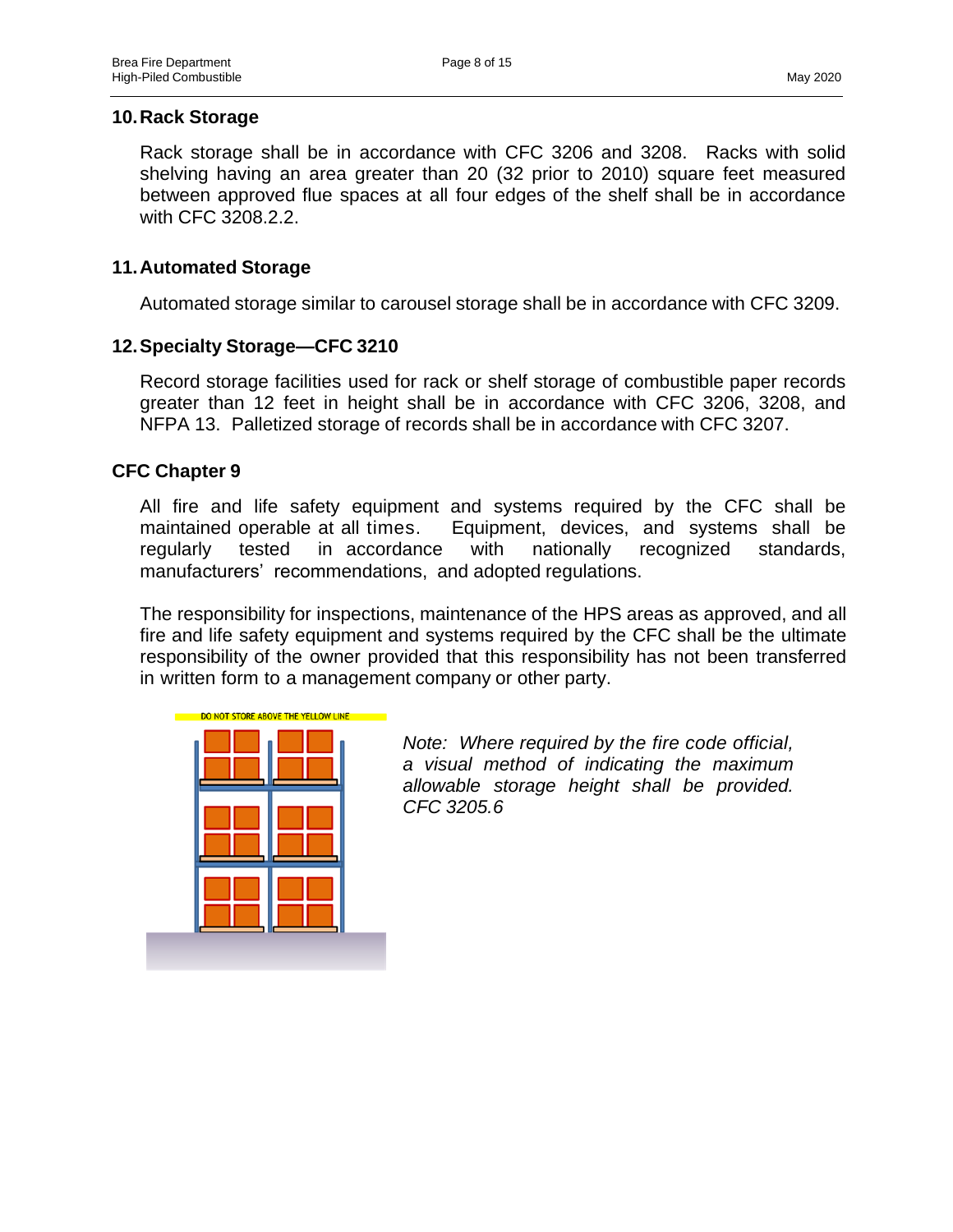#### **10.Rack Storage**

Rack storage shall be in accordance with CFC 3206 and 3208. Racks with solid shelving having an area greater than 20 (32 prior to 2010) square feet measured between approved flue spaces at all four edges of the shelf shall be in accordance with CFC 3208.2.2.

#### **11.Automated Storage**

Automated storage similar to carousel storage shall be in accordance with CFC 3209.

#### **12.Specialty Storage—CFC 3210**

Record storage facilities used for rack or shelf storage of combustible paper records greater than 12 feet in height shall be in accordance with CFC 3206, 3208, and NFPA 13. Palletized storage of records shall be in accordance with CFC 3207.

#### **CFC Chapter 9**

All fire and life safety equipment and systems required by the CFC shall be maintained operable at all times. Equipment, devices, and systems shall be regularly tested in accordance with nationally recognized standards, manufacturers' recommendations, and adopted regulations.

The responsibility for inspections, maintenance of the HPS areas as approved, and all fire and life safety equipment and systems required by the CFC shall be the ultimate responsibility of the owner provided that this responsibility has not been transferred in written form to a management company or other party.



*Note: Where required by the fire code official, a visual method of indicating the maximum allowable storage height shall be provided. CFC 3205.6*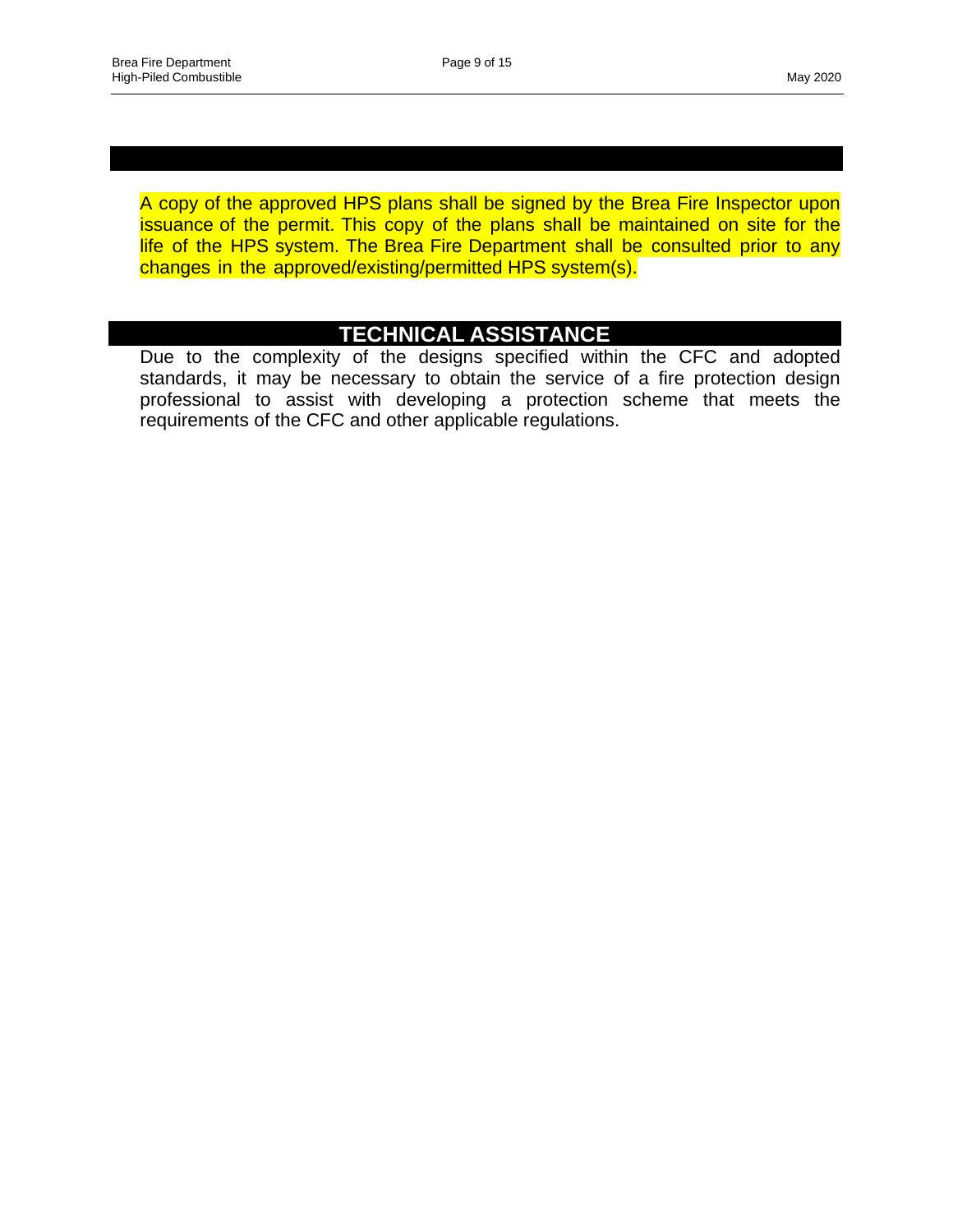**APPROVED PLANS**

A copy of the approved HPS plans shall be signed by the Brea Fire Inspector upon issuance of the permit. This copy of the plans shall be maintained on site for the life of the HPS system. The Brea Fire Department shall be consulted prior to any changes in the approved/existing/permitted HPS system(s).

#### **TECHNICAL ASSISTANCE**

Due to the complexity of the designs specified within the CFC and adopted standards, it may be necessary to obtain the service of a fire protection design professional to assist with developing a protection scheme that meets the requirements of the CFC and other applicable regulations.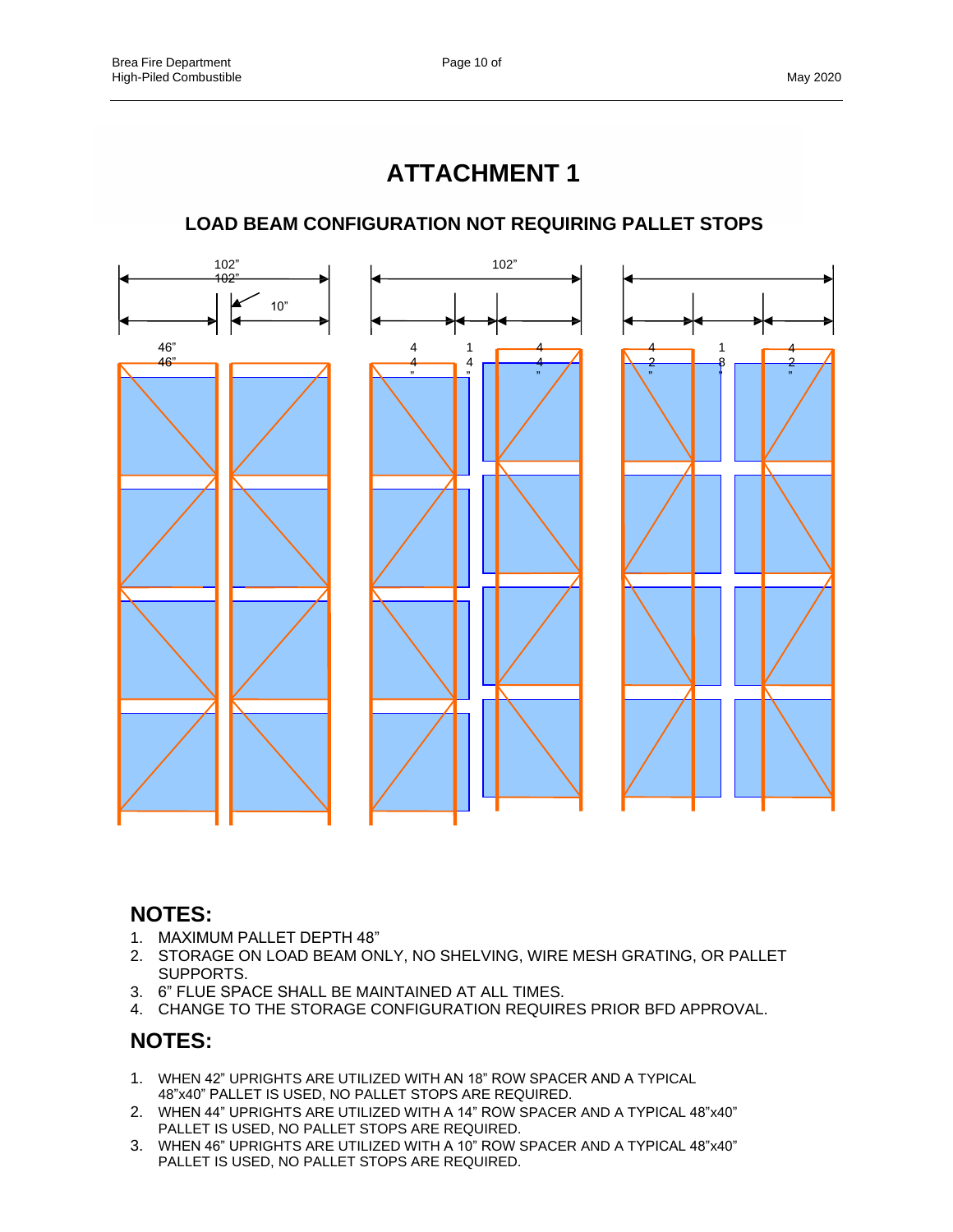## **ATTACHMENT 1**

#### **LOAD BEAM CONFIGURATION NOT REQUIRING PALLET STOPS**



#### **NOTES:**

- 1. MAXIMUM PALLET DEPTH 48"
- 2. STORAGE ON LOAD BEAM ONLY, NO SHELVING, WIRE MESH GRATING, OR PALLET SUPPORTS.
- 3. 6" FLUE SPACE SHALL BE MAINTAINED AT ALL TIMES.
- 4. CHANGE TO THE STORAGE CONFIGURATION REQUIRES PRIOR BFD APPROVAL.

#### **NOTES:**

- 1. WHEN 42" UPRIGHTS ARE UTILIZED WITH AN 18" ROW SPACER AND A TYPICAL 48"x40" PALLET IS USED, NO PALLET STOPS ARE REQUIRED.
- 2. WHEN 44" UPRIGHTS ARE UTILIZED WITH A 14" ROW SPACER AND A TYPICAL 48"x40" PALLET IS USED, NO PALLET STOPS ARE REQUIRED.
- 3. WHEN 46" UPRIGHTS ARE UTILIZED WITH A 10" ROW SPACER AND A TYPICAL 48"x40" PALLET IS USED, NO PALLET STOPS ARE REQUIRED.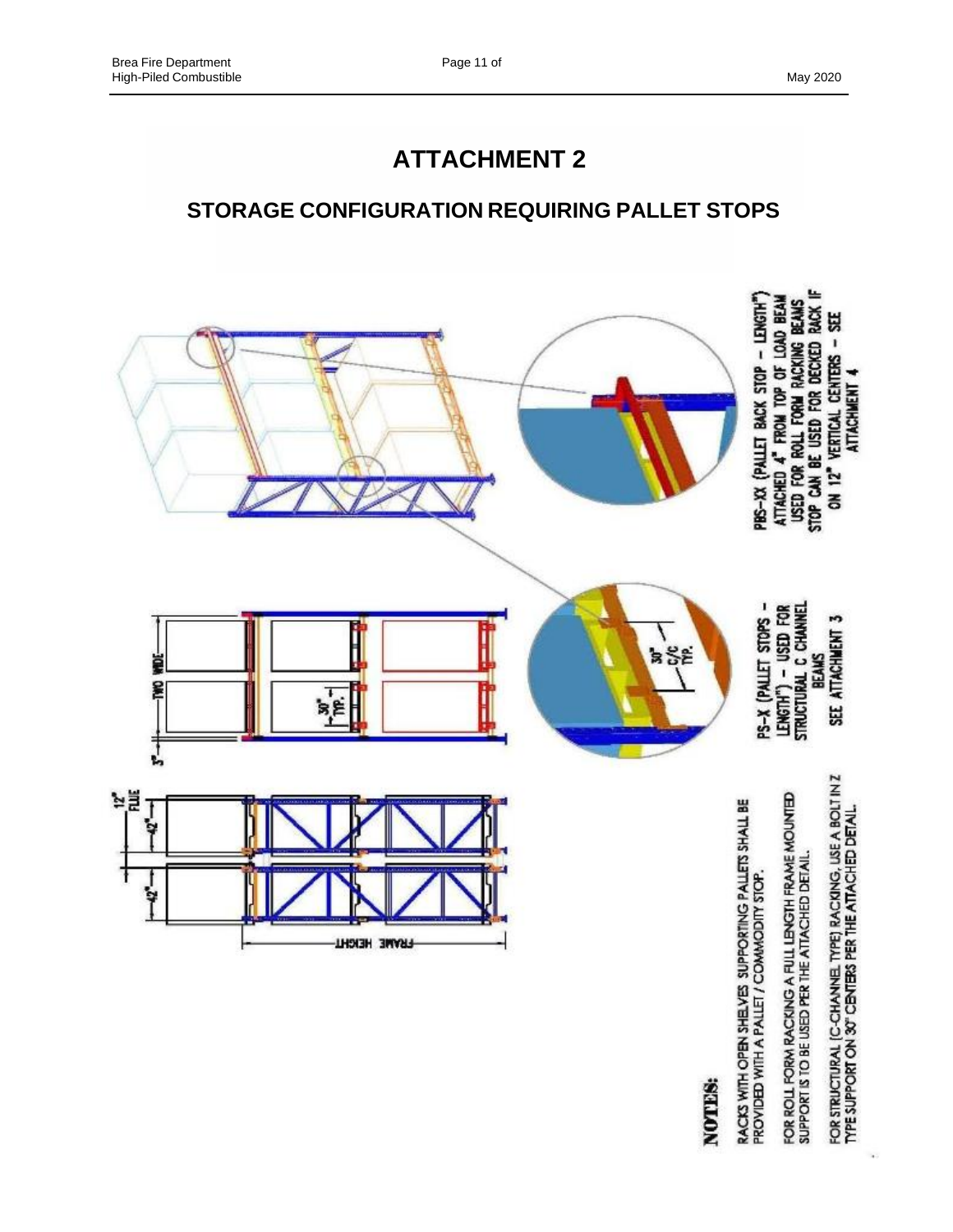### **STORAGE CONFIGURATION REQUIRING PALLET STOPS**



NOTES:

 $\lambda$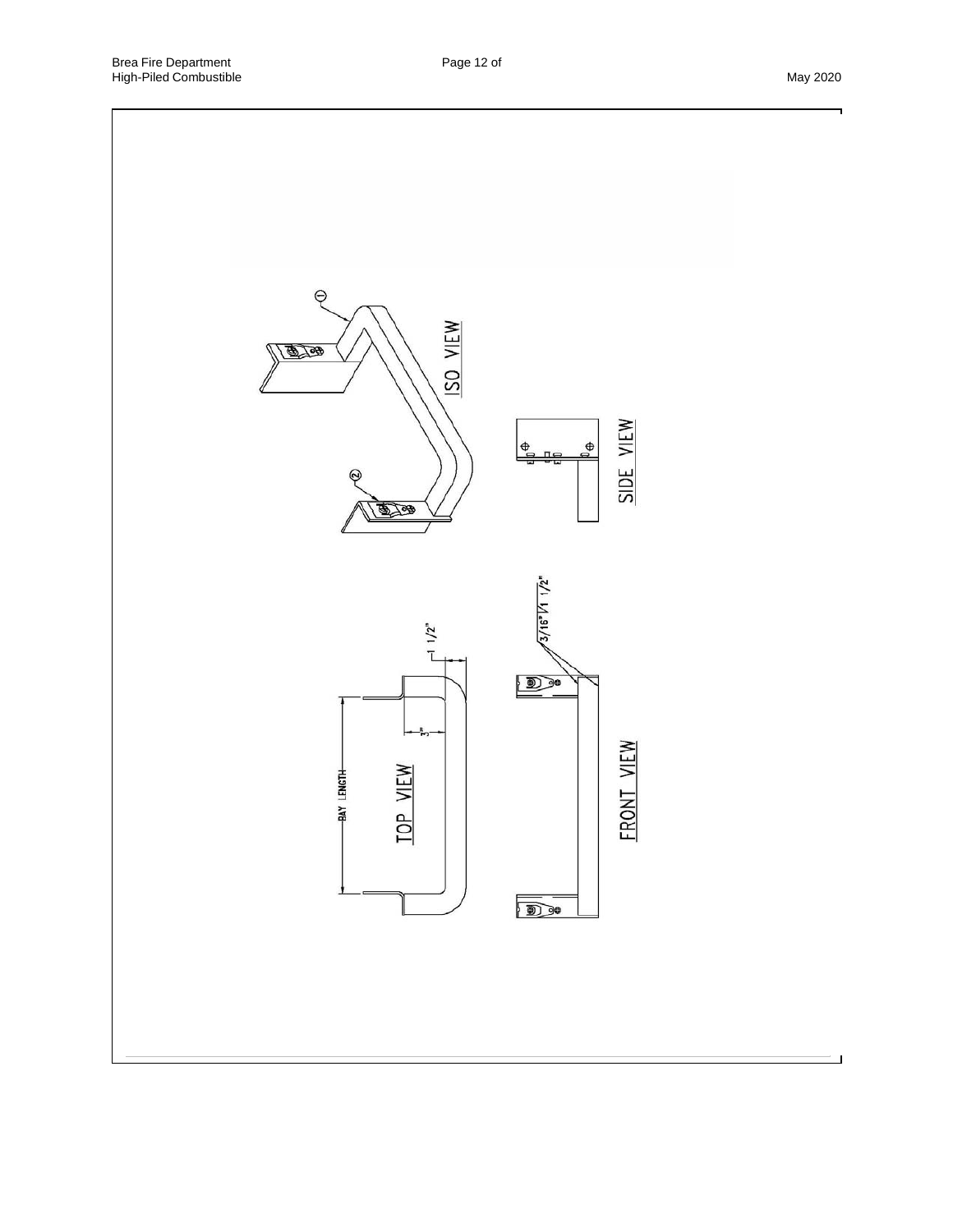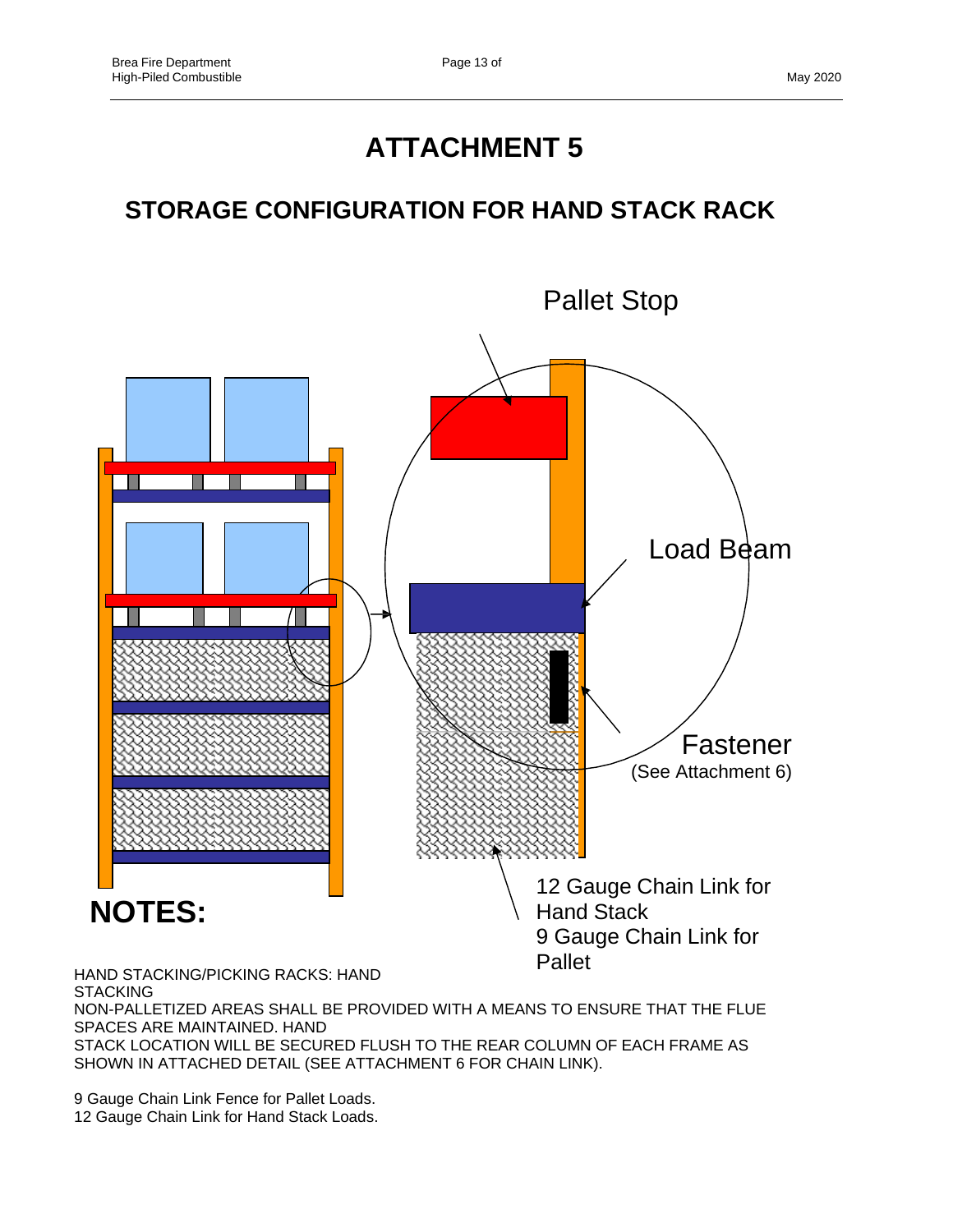## **STORAGE CONFIGURATION FOR HAND STACK RACK**



NON-PALLETIZED AREAS SHALL BE PROVIDED WITH A MEANS TO ENSURE THAT THE FLUE SPACES ARE MAINTAINED. HAND STACK LOCATION WILL BE SECURED FLUSH TO THE REAR COLUMN OF EACH FRAME AS SHOWN IN ATTACHED DETAIL (SEE ATTACHMENT 6 FOR CHAIN LINK).

9 Gauge Chain Link Fence for Pallet Loads. 12 Gauge Chain Link for Hand Stack Loads.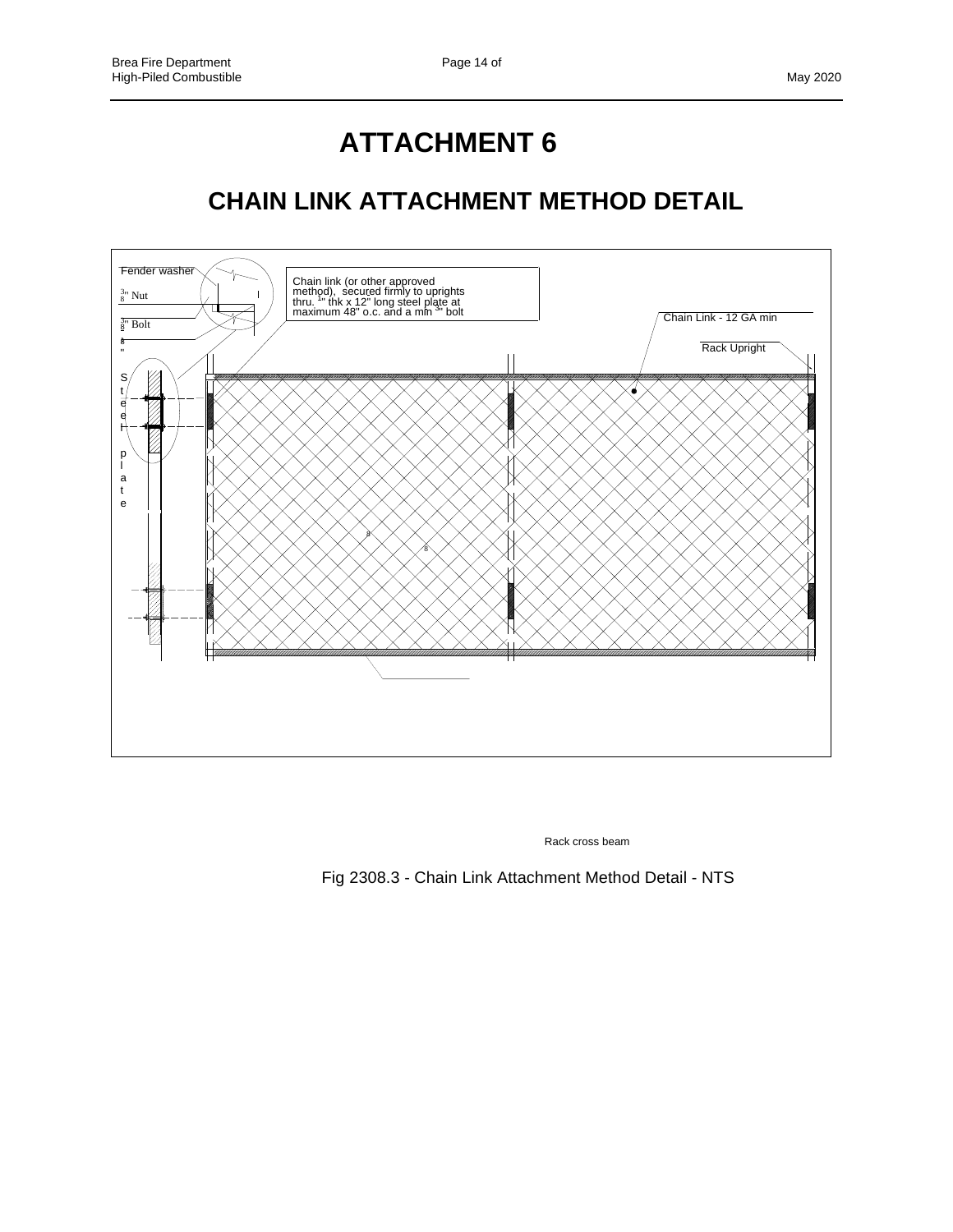## **ATTACHMENT 6**

## **CHAIN LINK ATTACHMENT METHOD DETAIL**



Rack cross beam

Fig 2308.3 - Chain Link Attachment Method Detail - NTS